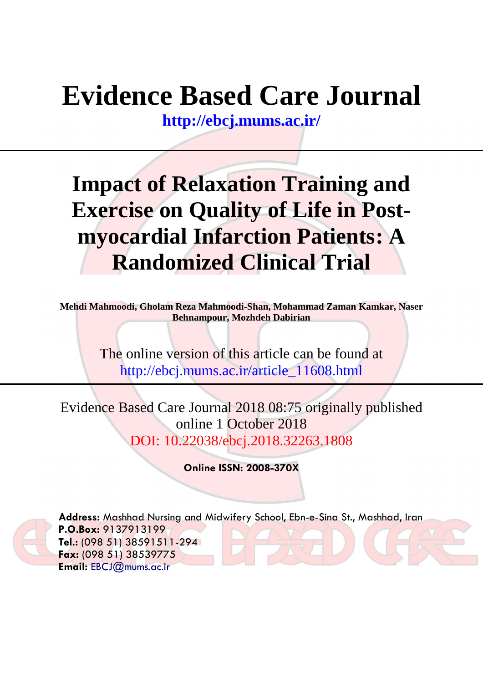# **Evidence Based Care Journal**

**<http://ebcj.mums.ac.ir/>**

## **Impact of Relaxation Training and Exercise on Quality of Life in Postmyocardial Infarction Patients: A Randomized Clinical Trial**

**Mehdi Mahmoodi, Gholam Reza Mahmoodi-Shan, Mohammad Zaman Kamkar, Naser Behnampour, Mozhdeh Dabirian** 

> The online version of this article can be found at http://ebcj.mums.ac.ir/article\_11608.html

Evidence Based Care Journal 2018 08:75 originally published online 1 October 2018 DOI: 10.22038/ebcj.2018.32263.1808

**Online ISSN: 2008-370X**



**Address:** Mashhad Nursing and Midwifery School, Ebn-e-Sina St., Mashhad, Iran **P.O.Box:** 9137913199 **Tel.:** (098 51) 38591511-294 **Fax:** (098 51) 38539775 **Email:** [EBCJ@mums.ac.ir](mailto:EBCJ@mums.ac.ir)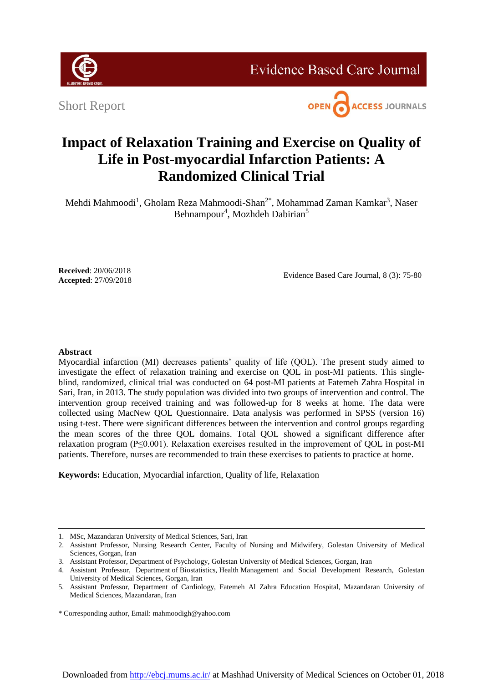

**Evidence Based Care Journal** 

Short Report



### **Impact of Relaxation Training and Exercise on Quality of Life in Post-myocardial Infarction Patients: A Randomized Clinical Trial**

Mehdi Mahmoodi<sup>1</sup>, Gholam Reza Mahmoodi-Shan<sup>2\*</sup>, Mohammad Zaman Kamkar<sup>3</sup>, Naser Behnampour<sup>4</sup>, Mozhdeh Dabirian<sup>5</sup>

**Received**: 20/06/2018 **Accepted**: 27/09/2018

Evidence Based Care Journal, 8 (3): 75-80

#### **Abstract**

Myocardial infarction (MI) decreases patients' quality of life (QOL). The present study aimed to investigate the effect of relaxation training and exercise on QOL in post-MI patients. This singleblind, randomized, clinical trial was conducted on 64 post-MI patients at Fatemeh Zahra Hospital in Sari, Iran, in 2013. The study population was divided into two groups of intervention and control. The intervention group received training and was followed-up for 8 weeks at home. The data were collected using MacNew QOL Questionnaire. Data analysis was performed in SPSS (version 16) using t-test. There were significant differences between the intervention and control groups regarding the mean scores of the three QOL domains. Total QOL showed a significant difference after relaxation program (P≤0.001). Relaxation exercises resulted in the improvement of QOL in post-MI patients. Therefore, nurses are recommended to train these exercises to patients to practice at home.

**Keywords:** Education, Myocardial infarction, Quality of life, Relaxation

<sup>1.</sup> MSc, Mazandaran University of Medical Sciences, Sari, Iran

<sup>2.</sup> Assistant Professor, Nursing Research Center, Faculty of Nursing and Midwifery*,* Golestan University of Medical Sciences, Gorgan, Iran

<sup>3.</sup> Assistant Professor, Department of Psychology*,* Golestan University of Medical Sciences, Gorgan, Iran

<sup>4.</sup> Assistant Professor, Department of Biostatistics, Health Management and Social Development Research, Golestan University of Medical Sciences, Gorgan, Iran

<sup>5.</sup> Assistant Professor, Department of Cardiology, Fatemeh Al Zahra Education Hospital, Mazandaran University of Medical Sciences, Mazandaran, Iran

<sup>\*</sup> Corresponding author, Email: [mahmoodigh@yahoo.com](mailto:mahmoodigh@yahoo.com)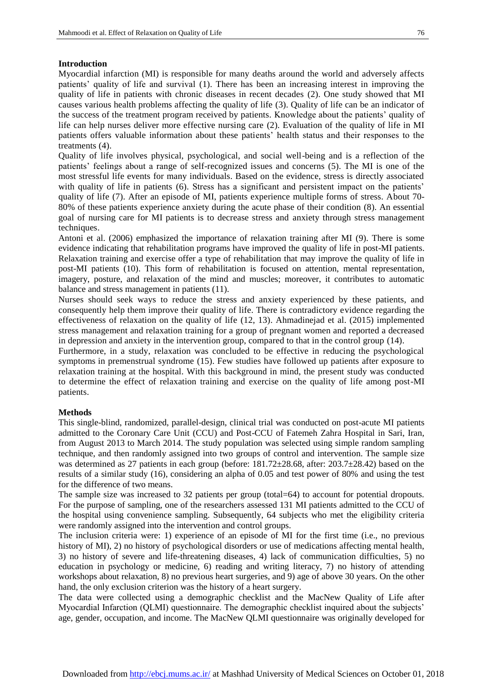#### **Introduction**

Myocardial infarction (MI) is responsible for many deaths around the world and adversely affects patients' quality of life and survival [\(1\)](#page-5-0). There has been an increasing interest in improving the quality of life in patients with chronic diseases in recent decades [\(2\)](#page-5-1). One study showed that MI causes various health problems affecting the quality of life [\(3\)](#page-5-2). Quality of life can be an indicator of the success of the treatment program received by patients. Knowledge about the patients' quality of life can help nurses deliver more effective nursing care [\(2\)](#page-5-1). Evaluation of the quality of life in MI patients offers valuable information about these patients' health status and their responses to the treatments [\(4\)](#page-5-3).

Quality of life involves physical, psychological, and social well-being and is a reflection of the patients' feelings about a range of self-recognized issues and concerns [\(5\)](#page-5-4). The MI is one of the most stressful life events for many individuals. Based on the evidence, stress is directly associated with quality of life in patients [\(6\)](#page-5-5). Stress has a significant and persistent impact on the patients' quality of life [\(7\)](#page-5-6). After an episode of MI, patients experience multiple forms of stress. About 70- 80% of these patients experience anxiety during the acute phase of their condition [\(8\)](#page-5-7). An essential goal of nursing care for MI patients is to decrease stress and anxiety through stress management techniques.

Antoni et al. (2006) emphasized the importance of relaxation training after MI [\(9\)](#page-5-8). There is some evidence indicating that rehabilitation programs have improved the quality of life in post-MI patients. Relaxation training and exercise offer a type of rehabilitation that may improve the quality of life in post-MI patients [\(10\)](#page-5-9). This form of rehabilitation is focused on attention, mental representation, imagery, posture, and relaxation of the mind and muscles; moreover, it contributes to automatic balance and stress management in patients [\(11\)](#page-5-10).

Nurses should seek ways to reduce the stress and anxiety experienced by these patients, and consequently help them improve their quality of life. There is contradictory evidence regarding the effectiveness of relaxation on the quality of life [\(12,](#page-5-11) [13\)](#page-5-12). Ahmadinejad et al. (2015) implemented stress management and relaxation training for a group of pregnant women and reported a decreased in depression and anxiety in the intervention group, compared to that in the control group [\(14\)](#page-5-13).

Furthermore, in a study, relaxation was concluded to be effective in reducing the psychological symptoms in premenstrual syndrome [\(15\)](#page-6-0). Few studies have followed up patients after exposure to relaxation training at the hospital. With this background in mind, the present study was conducted to determine the effect of relaxation training and exercise on the quality of life among post-MI patients.

#### **Methods**

This single-blind, randomized, parallel-design, clinical trial was conducted on post-acute MI patients admitted to the Coronary Care Unit (CCU) and Post-CCU of Fatemeh Zahra Hospital in Sari, Iran, from August 2013 to March 2014. The study population was selected using simple random sampling technique, and then randomly assigned into two groups of control and intervention. The sample size was determined as 27 patients in each group (before: 181.72±28.68, after: 203.7±28.42) based on the results of a similar study [\(16\)](#page-6-1), considering an alpha of 0.05 and test power of 80% and using the test for the difference of two means.

The sample size was increased to 32 patients per group (total=64) to account for potential dropouts. For the purpose of sampling, one of the researchers assessed 131 MI patients admitted to the CCU of the hospital using convenience sampling. Subsequently, 64 subjects who met the eligibility criteria were randomly assigned into the intervention and control groups.

The inclusion criteria were: 1) experience of an episode of MI for the first time (i.e., no previous history of MI), 2) no history of psychological disorders or use of medications affecting mental health, 3) no history of severe and life-threatening diseases, 4) lack of communication difficulties, 5) no education in psychology or medicine, 6) reading and writing literacy, 7) no history of attending workshops about relaxation, 8) no previous heart surgeries, and 9) age of above 30 years. On the other hand, the only exclusion criterion was the history of a heart surgery.

The data were collected using a demographic checklist and the MacNew Quality of Life after Myocardial Infarction (QLMI) questionnaire. The demographic checklist inquired about the subjects' age, gender, occupation, and income. The MacNew QLMI questionnaire was originally developed for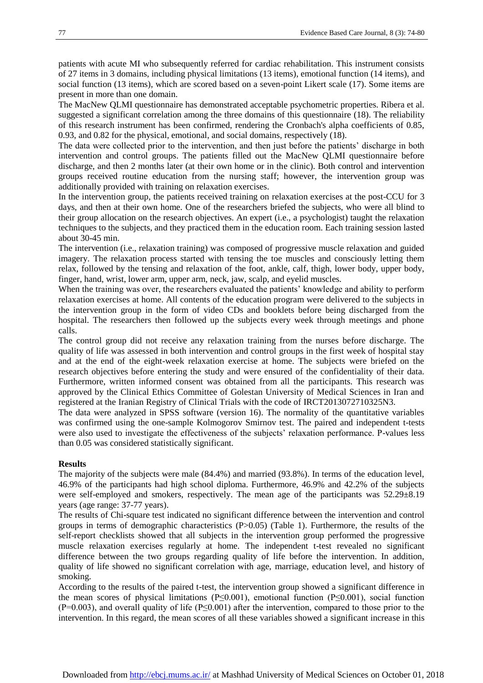patients with acute MI who subsequently referred for cardiac rehabilitation. This instrument consists of 27 items in 3 domains, including physical limitations (13 items), emotional function (14 items), and social function (13 items), which are scored based on a seven-point Likert scale [\(17\)](#page-6-2). Some items are present in more than one domain.

The MacNew QLMI questionnaire has demonstrated acceptable psychometric properties. Ribera et al. suggested a significant correlation among the three domains of this questionnaire [\(18\)](#page-6-3). The reliability of this research instrument has been confirmed, rendering the Cronbach's alpha coefficients of 0.85, 0.93, and 0.82 for the physical, emotional, and social domains, respectively [\(18\)](#page-6-3).

The data were collected prior to the intervention, and then just before the patients' discharge in both intervention and control groups. The patients filled out the MacNew QLMI questionnaire before discharge, and then 2 months later (at their own home or in the clinic). Both control and intervention groups received routine education from the nursing staff; however, the intervention group was additionally provided with training on relaxation exercises.

In the intervention group, the patients received training on relaxation exercises at the post-CCU for 3 days, and then at their own home. One of the researchers briefed the subjects, who were all blind to their group allocation on the research objectives. An expert (i.e., a psychologist) taught the relaxation techniques to the subjects, and they practiced them in the education room. Each training session lasted about 30-45 min.

The intervention (i.e., relaxation training) was composed of progressive muscle relaxation and guided imagery. The relaxation process started with tensing the toe muscles and consciously letting them relax, followed by the tensing and relaxation of the foot, ankle, calf, thigh, lower body, upper body, finger, hand, wrist, lower arm, upper arm, neck, jaw, scalp, and eyelid muscles.

When the training was over, the researchers evaluated the patients' knowledge and ability to perform relaxation exercises at home. All contents of the education program were delivered to the subjects in the intervention group in the form of video CDs and booklets before being discharged from the hospital. The researchers then followed up the subjects every week through meetings and phone calls.

The control group did not receive any relaxation training from the nurses before discharge. The quality of life was assessed in both intervention and control groups in the first week of hospital stay and at the end of the eight-week relaxation exercise at home. The subjects were briefed on the research objectives before entering the study and were ensured of the confidentiality of their data. Furthermore, written informed consent was obtained from all the participants. This research was approved by the Clinical Ethics Committee of Golestan University of Medical Sciences in Iran and registered at the Iranian Registry of Clinical Trials with the code of IRCT2013072710325N3.

The data were analyzed in SPSS software (version 16). The normality of the quantitative variables was confirmed using the one-sample Kolmogorov Smirnov test. The paired and independent t-tests were also used to investigate the effectiveness of the subjects' relaxation performance. P-values less than 0.05 was considered statistically significant.

#### **Results**

The majority of the subjects were male (84.4%) and married (93.8%). In terms of the education level, 46.9% of the participants had high school diploma. Furthermore, 46.9% and 42.2% of the subjects were self-employed and smokers, respectively. The mean age of the participants was 52.29±8.19 years (age range: 37-77 years).

The results of Chi-square test indicated no significant difference between the intervention and control groups in terms of demographic characteristics  $(P>0.05)$  (Table 1). Furthermore, the results of the self-report checklists showed that all subjects in the intervention group performed the progressive muscle relaxation exercises regularly at home. The independent t-test revealed no significant difference between the two groups regarding quality of life before the intervention. In addition, quality of life showed no significant correlation with age, marriage, education level, and history of smoking.

According to the results of the paired t*-*test, the intervention group showed a significant difference in the mean scores of physical limitations (P≤0.001), emotional function (P≤0.001), social function (P=0.003), and overall quality of life (P≤0.001) after the intervention, compared to those prior to the intervention. In this regard, the mean scores of all these variables showed a significant increase in this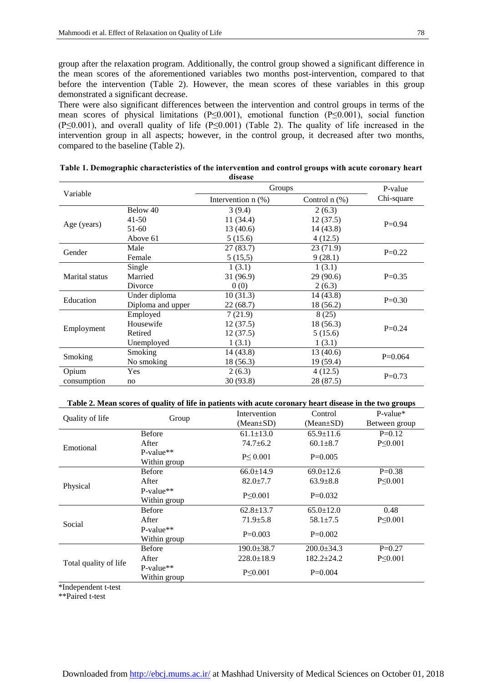group after the relaxation program. Additionally, the control group showed a significant difference in the mean scores of the aforementioned variables two months post-intervention, compared to that before the intervention (Table 2). However, the mean scores of these variables in this group demonstrated a significant decrease.

There were also significant differences between the intervention and control groups in terms of the mean scores of physical limitations (P≤0.001), emotional function (P≤0.001), social function (P≤0.001), and overall quality of life (P≤0.001) (Table 2). The quality of life increased in the intervention group in all aspects; however, in the control group, it decreased after two months, compared to the baseline (Table 2).

| Variable       |                   | Groups               |                    | P-value    |
|----------------|-------------------|----------------------|--------------------|------------|
|                |                   | Intervention $n$ (%) | Control $n$ $(\%)$ | Chi-square |
| Age (years)    | Below 40          | 3(9.4)               | 2(6.3)             |            |
|                | $41 - 50$         | 11 (34.4)            | 12(37.5)           | $P=0.94$   |
|                | $51-60$           | 13(40.6)             | 14 (43.8)          |            |
|                | Above 61          | 5(15.6)              | 4(12.5)            |            |
| Gender         | Male              | 27 (83.7)            | 23(71.9)           | $P=0.22$   |
|                | Female            | 5(15,5)              | 9(28.1)            |            |
| Marital status | Single            | 1(3.1)               | 1(3.1)             |            |
|                | Married           | 31 (96.9)            | 29(90.6)           | $P=0.35$   |
|                | Divorce           | 0(0)                 | 2(6.3)             |            |
| Education      | Under diploma     | 10(31.3)             | 14 (43.8)          | $P=0.30$   |
|                | Diploma and upper | 22 (68.7)            | 18 (56.2)          |            |
| Employment     | Employed          | 7(21.9)              | 8(25)              |            |
|                | Housewife         | 12(37.5)             | 18 (56.3)          | $P=0.24$   |
|                | Retired           | 12(37.5)             | 5(15.6)            |            |
|                | Unemployed        | 1(3.1)               | 1(3.1)             |            |
| Smoking        | Smoking           | 14 (43.8)            | 13 (40.6)          | $P=0.064$  |
|                | No smoking        | 18 (56.3)            | 19 (59.4)          |            |
| Opium          | <b>Yes</b>        | 2(6.3)               | 4(12.5)            | $P=0.73$   |
| consumption    | no                | 30 (93.8)            | 28 (87.5)          |            |

| Table 1. Demographic characteristics of the intervention and control groups with acute coronary heart |  |
|-------------------------------------------------------------------------------------------------------|--|
| disease                                                                                               |  |

#### **Table 2. Mean scores of quality of life in patients with acute coronary heart disease in the two groups**

|                       | Group         | Intervention     | Control          | $P-value*$    |
|-----------------------|---------------|------------------|------------------|---------------|
| Quality of life       |               | $(Mean \pm SD)$  | $(Mean \pm SD)$  | Between group |
|                       | <b>Before</b> | $61.1 \pm 13.0$  | $65.9 \pm 11.6$  | $P=0.12$      |
| Emotional             | After         | 74.7±6.2         | $60.1 \pm 8.7$   | $P \le 0.001$ |
|                       | $P-value**$   | P < 0.001        | $P=0.005$        |               |
|                       | Within group  |                  |                  |               |
|                       | <b>Before</b> | $66.0 \pm 14.9$  | $69.0 \pm 12.6$  | $P=0.38$      |
| Physical              | After         | $82.0 \pm 7.7$   | $63.9 \pm 8.8$   | $P \le 0.001$ |
|                       | $P-value**$   | $P \le 0.001$    | $P=0.032$        |               |
|                       | Within group  |                  |                  |               |
|                       | <b>Before</b> | $62.8 \pm 13.7$  | $65.0 \pm 12.0$  | 0.48          |
| Social                | After         | $71.9 \pm 5.8$   | $58.1 \pm 7.5$   | $P \le 0.001$ |
|                       | $P-value**$   | $P=0.003$        | $P=0.002$        |               |
|                       | Within group  |                  |                  |               |
|                       | <b>Before</b> | $190.0 \pm 38.7$ | $200.0 \pm 34.3$ | $P=0.27$      |
| Total quality of life | After         | $228.0 \pm 18.9$ | $182.2 \pm 24.2$ | $P \le 0.001$ |
|                       | $P-value**$   | $P \le 0.001$    | $P=0.004$        |               |
|                       | Within group  |                  |                  |               |

\*Independent t-test

\*\*Paired t-test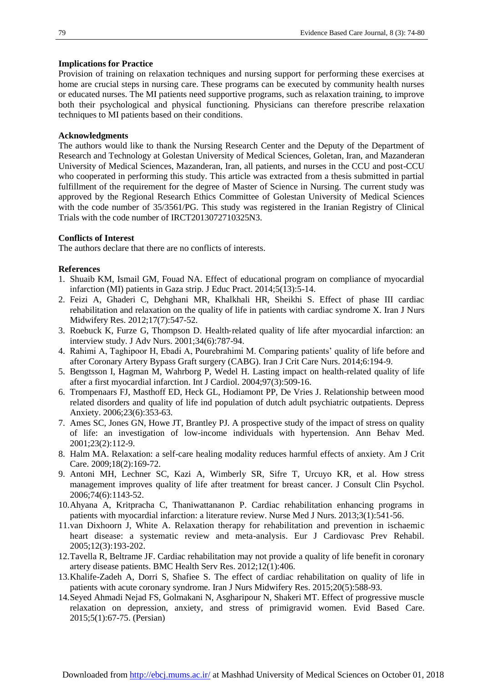#### **Implications for Practice**

Provision of training on relaxation techniques and nursing support for performing these exercises at home are crucial steps in nursing care. These programs can be executed by community health nurses or educated nurses. The MI patients need supportive programs, such as relaxation training, to improve both their psychological and physical functioning. Physicians can therefore prescribe relaxation techniques to MI patients based on their conditions.

#### **Acknowledgments**

The authors would like to thank the Nursing Research Center and the Deputy of the Department of Research and Technology at Golestan University of Medical Sciences, Goletan, Iran, and Mazanderan University of Medical Sciences, Mazanderan, Iran, all patients, and nurses in the CCU and post-CCU who cooperated in performing this study. This article was extracted from a thesis submitted in partial fulfillment of the requirement for the degree of Master of Science in Nursing. The current study was approved by the Regional Research Ethics Committee of Golestan University of Medical Sciences with the code number of 35/3561/PG. This study was registered in the Iranian Registry of Clinical Trials with the code number of IRCT2013072710325N3.

#### **Conflicts of Interest**

The authors declare that there are no conflicts of interests.

#### **References**

- <span id="page-5-0"></span>1. Shuaib KM, Ismail GM, Fouad NA. Effect of educational program on compliance of myocardial infarction (MI) patients in Gaza strip. J Educ Pract. 2014;5(13):5-14.
- <span id="page-5-1"></span>2. Feizi A, Ghaderi C, Dehghani MR, Khalkhali HR, Sheikhi S. Effect of phase III cardiac rehabilitation and relaxation on the quality of life in patients with cardiac syndrome X. Iran J Nurs Midwifery Res. 2012;17(7):547-52.
- <span id="page-5-2"></span>3. Roebuck K, Furze G, Thompson D. Health‐related quality of life after myocardial infarction: an interview study. J Adv Nurs. 2001;34(6):787-94.
- <span id="page-5-3"></span>4. Rahimi A, Taghipoor H, Ebadi A, Pourebrahimi M. Comparing patients' quality of life before and after Coronary Artery Bypass Graft surgery (CABG). Iran J Crit Care Nurs. 2014;6:194-9.
- <span id="page-5-4"></span>5. Bengtsson I, Hagman M, Wahrborg P, Wedel H. Lasting impact on health-related quality of life after a first myocardial infarction. Int J Cardiol. 2004;97(3):509-16.
- <span id="page-5-5"></span>6. Trompenaars FJ, Masthoff ED, Heck GL, Hodiamont PP, De Vries J. Relationship between mood related disorders and quality of life ind population of dutch adult psychiatric outpatients. Depress Anxiety. 2006;23(6):353-63.
- <span id="page-5-6"></span>7. Ames SC, Jones GN, Howe JT, Brantley PJ. A prospective study of the impact of stress on quality of life: an investigation of low-income individuals with hypertension. Ann Behav Med. 2001;23(2):112-9.
- <span id="page-5-7"></span>8. Halm MA. Relaxation: a self-care healing modality reduces harmful effects of anxiety. Am J Crit Care. 2009;18(2):169-72.
- <span id="page-5-8"></span>9. Antoni MH, Lechner SC, Kazi A, Wimberly SR, Sifre T, Urcuyo KR, et al. How stress management improves quality of life after treatment for breast cancer. J Consult Clin Psychol. 2006;74(6):1143-52.
- <span id="page-5-9"></span>10.Ahyana A, Kritpracha C, Thaniwattananon P. Cardiac rehabilitation enhancing programs in patients with myocardial infarction: a literature review. Nurse Med J Nurs. 2013;3(1):541-56.
- <span id="page-5-10"></span>11.van Dixhoorn J, White A. Relaxation therapy for rehabilitation and prevention in ischaemic heart disease: a systematic review and meta-analysis. Eur J Cardiovasc Prev Rehabil. 2005;12(3):193-202.
- <span id="page-5-11"></span>12.Tavella R, Beltrame JF. Cardiac rehabilitation may not provide a quality of life benefit in coronary artery disease patients. BMC Health Serv Res. 2012;12(1):406.
- <span id="page-5-12"></span>13.Khalife-Zadeh A, Dorri S, Shafiee S. The effect of cardiac rehabilitation on quality of life in patients with acute coronary syndrome. Iran J Nurs Midwifery Res. 2015;20(5):588-93.
- <span id="page-5-13"></span>14.Seyed Ahmadi Nejad FS, Golmakani N, Asgharipour N, Shakeri MT. Effect of progressive muscle relaxation on depression, anxiety, and stress of primigravid women. Evid Based Care. 2015;5(1):67-75. (Persian)